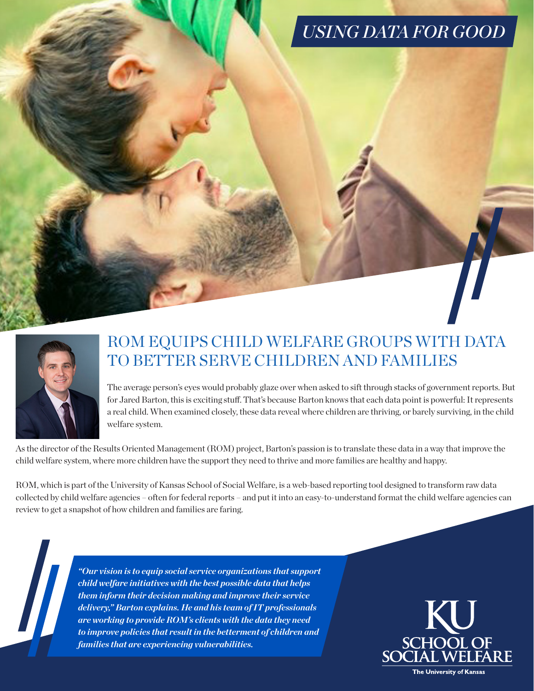## *USING DATA FOR GOOD*



## ROM EQUIPS CHILD WELFARE GROUPS WITH DATA TO BETTER SERVE CHILDREN AND FAMILIES

The average person's eyes would probably glaze over when asked to sift through stacks of government reports. But for Jared Barton, this is exciting stuff. That's because Barton knows that each data point is powerful: It represents a real child. When examined closely, these data reveal where children are thriving, or barely surviving, in the child welfare system.

As the director of the Results Oriented Management (ROM) project, Barton's passion is to translate these data in a way that improve the child welfare system, where more children have the support they need to thrive and more families are healthy and happy.

ROM, which is part of the University of Kansas School of Social Welfare, is a web-based reporting tool designed to transform raw data collected by child welfare agencies – often for federal reports – and put it into an easy-to-understand format the child welfare agencies can review to get a snapshot of how children and families are faring.

> *"Our vision is to equip social service organizations that support child welfare initiatives with the best possible data that helps them inform their decision making and improve their service delivery," Barton explains. He and his team of IT professionals are working to provide ROM's clients with the data they need to improve policies that result in the betterment of children and families that are experiencing vulnerabilities.*

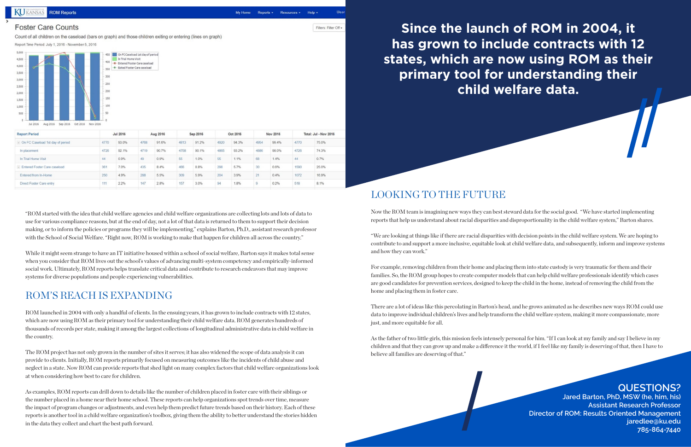

### **Report Period Jul 2016** Aug 2016 Sep 2016 Oct 2016 Nov 2016 Total: Jul - Nov 2016 4770 4768 4813 4770 - On FC Caseload 1st day of period 93.0% 91.6% 91.2% 4920 94.3% 4954 99.4% 75.0% 4726 92.1% 90.7% 74.3% In placemen 4719 4758 90.1% 93.2% 4886 98.0% 4726 0.9% 0.7% In Trial Home Visit 44  $0.9%$ 55 1.0% 1.1% 1.4% 44  $49$  $55$ 68 - Entered Foster Care caseload 361 7.0% 435  $8.4%$ 466 8.8%  $298$ 5.7%  $0.6%$ 1590 25.0% Entered from In-Home 250 4.9% 288 5.5% 309 5.9%  $204$ 3.9%  $0.4%$ 1072 16.9%  $21$ 111 2.8% 157 518 Direct Foster Care entry  $2.2%$  $147$ 3.0% 94 1.8%  $0.2%$ 8.1%

"ROM started with the idea that child welfare agencies and child welfare organizations are collecting lots and lots of data to use for various compliance reasons, but at the end of day, not a lot of that data is returned to them to support their decision making, or to inform the policies or programs they will be implementing," explains Barton, Ph.D., assistant research professor with the School of Social Welfare. "Right now, ROM is working to make that happen for children all across the country."

While it might seem strange to have an IT initiative housed within a school of social welfare, Barton says it makes total sense when you consider that ROM lives out the school's values of advancing multi-system competency and empirically-informed social work. Ultimately, ROM reports helps translate critical data and contribute to research endeavors that may improve systems for diverse populations and people experiencing vulnerabilities.

## ROM'S REACH IS EXPANDING

ROM launched in 2004 with only a handful of clients. In the ensuing years, it has grown to include contracts with 12 states, which are now using ROM as their primary tool for understanding their child welfare data. ROM generates hundreds of thousands of records per state, making it among the largest collections of longitudinal administrative data in child welfare in the country.

The ROM project has not only grown in the number of sites it serves; it has also widened the scope of data analysis it can provide to clients. Initially, ROM reports primarily focused on measuring outcomes like the incidents of child abuse and neglect in a state. Now ROM can provide reports that shed light on many complex factors that child welfare organizations look at when considering how best to care for children.

As examples, ROM reports can drill down to details like the number of children placed in foster care with their siblings or the number placed in a home near their home school. These reports can help organizations spot trends over time, measure the impact of program changes or adjustments, and even help them predict future trends based on their history. Each of these reports is another tool in a child welfare organization's toolbox, giving them the ability to better understand the stories hidden in the data they collect and chart the best path forward.

Use

## LOOKING TO THE FUTURE

Now the ROM team is imagining new ways they can best steward data for the social good. "We have started implementing reports that help us understand about racial disparities and disproportionality in the child welfare system," Barton shares.

"We are looking at things like if there are racial disparities with decision points in the child welfare system. We are hoping to contribute to and support a more inclusive, equitable look at child welfare data, and subsequently, inform and improve systems and how they can work."

For example, removing children from their home and placing them into state custody is very traumatic for them and their families. So, the ROM group hopes to create computer models that can help child welfare professionals identify which cases are good candidates for prevention services, designed to keep the child in the home, instead of removing the child from the home and placing them in foster care.

There are a lot of ideas like this percolating in Barton's head, and he grows animated as he describes new ways ROM could use data to improve individual children's lives and help transform the child welfare system, making it more compassionate, more just, and more equitable for all.

As the father of two little girls, this mission feels intensely personal for him. "If I can look at my family and say I believe in my children and that they can grow up and make a difference it the world, if I feel like my family is deserving of that, then I have to believe all families are deserving of that."



**Since the launch of ROM in 2004, it has grown to include contracts with 12 states, which are now using ROM as their primary tool for understanding their child welfare data.**

## **QUESTIONS?**

**Jared Barton, PhD, MSW (he, him, his) Assistant Research Professor Director of ROM: Results Oriented Management [jaredlee@ku.edu](mailto:jaredlee%40ku.edu?subject=) 785-864-7440**